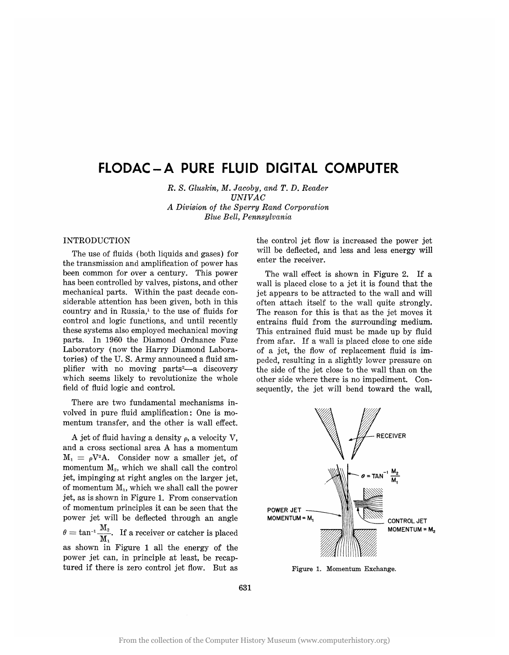# **FLODAC-A PURE FLUID DIGITAL COMPUTER**

*R.* s. *Gluskin, M. Jacoby, and T. D. Reader UNIVAC A Division of the Sperry Rand Corporation Blue Bell, Pennsylvania* 

## INTRODUCTION

The use of fluids (both liquids and gases) for the transmission and amplification of power has been common for over a century. This power has been controlled by valves, pistons, and other mechanical parts. Within the past decade considerable attention has been given, both in this country and in Russia, $\frac{1}{2}$  to the use of fluids for control and logic functions, and until recently these systems also employed mechanical moving parts. In 1960 the Diamond Ordnance Fuze Laboratory (now the Harry Diamond Laboratories) of the U. S. Army announced a fluid amplifier with no moving parts<sup>2</sup>—a discovery which seems likely to revolutionize the whole field of fluid logic and control.

There are two fundamental mechanisms involved in pure fluid amplification: One is momentum transfer, and the other is wall effect.

A jet of fluid having a density  $\rho$ , a velocity V, and a cross sectional area A has a momentum  $M_1 = \rho V^2 A$ . Consider now a smaller jet, of momentum  $M<sub>2</sub>$ , which we shall call the control jet, impinging at right angles on the larger jet, of momentum  $M_1$ , which we shall call the power jet, as is shown in Figure 1. From conservation of momentum principles it can be seen that the power jet will be deflected through an angle  $\theta = \tan^{-1} \frac{M_2}{M_1}$ . If a receiver or catcher is placed as shown in Figure 1 all the energy of the power jet can, in principle at least, be recaptured if there is zero control jet flow. But as

the control jet flow is increased the power jet will be deflected, and less and less energy will enter the receiver.

The wall effect is shown in Figure 2. If a wall is placed close to a jet it is found that the jet appears to be attracted to the wall and will often attach itself to the wall quite strongly. The reason for this is that as the jet moves it entrains fluid from the surrounding medium. This entrained fluid must be made up by fluid from afar. If a wall is placed close to one side of a jet, the flow of replacement fluid is impeded, resulting in a slightly lower pressure on the side of the jet close to the wall than on the other side where there is no impediment. Consequently, the jet will bend toward the wall,



Figure 1. Momentum Exchange.

631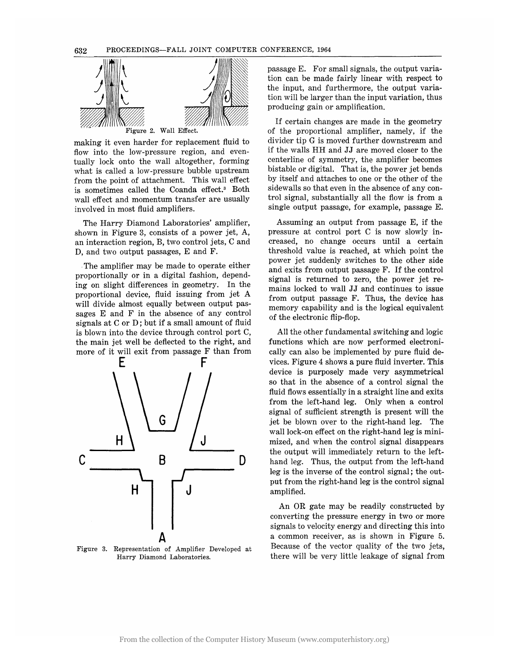

making it even harder for replacement fluid to flow into the low-pressure region, and eventually lock onto the wall altogether, forming what is called a low-pressure bubble upstream from the point of attachment. This wall effect is sometimes called the Coanda effect.<sup>3</sup> Both wall effect and momentum transfer are usually involved in most fluid amplifiers.

The Harry Diamond Laboratories' amplifier, shown in Figure 3, consists of a power jet, A, an interaction region, B, two control jets, C and D, and two output passages, E and F.

The amplifier may be made to operate either proportionally or in a digital fashion, depending on slight differences in geometry. In the proportional device, fluid issuing from jet A will divide almost equally between output passages E and F in the absence of any control signals at C or D; but if a small amount of fluid is blown into the device through control port C, the main jet well be deflected to the right, and more of it will exit from passage F than from



Figure 3. Representation of Amplifier Developed at Harry Diamond Laboratories.

passage E. For small signals, the output variation can be made fairly linear with respect to the input, and furthermore, the output variation will be larger than the input variation, thus producing gain or amplification.

If certain changes are made in the geometry of the proportional amplifier, namely, if the divider tip G is moved further downstream and if the walls HH and JJ are moved closer to the centerline of symmetry, the amplifier becomes bistable or digital. That is, the power jet bends by itself and attaches to one or the other of the sidewalls so that even in the absence of any control signal, substantially all the flow is from a single output passage, for example, passage E.

Assuming an output from passage E, if the pressure at control port C is now slowly increased, no change occurs until a certain threshold value is reached, at which point the power jet suddenly switches to the other side and exits from output passage F. If the control signal is returned to zero, the power jet remains locked to wall JJ and continues to issue from output passage F. Thus, the device has memory capability and is the logical equivalent of the electronic flip-flop.

All the other fundamental switching and logic functions which are now performed electronically can also be implemented by pure fluid devices. Figure 4 shows a pure fluid inverter. This device is purposely made very asymmetrical so that in the absence of a control signal the fluid flows essentially in a straight line and exits from the left-hand leg. Only when a control signal of sufficient strength is present will the jet be blown over to the right-hand leg. The wall lock-on effect on the right-hand leg is minimized, and when the control signal disappears the output will immediately return to the lefthand leg. Thus, the output from the left-hand leg is the inverse of the control signal; the output from the right-hand leg is the control signal amplified.

An OR gate may be readily constructed by converting the pressure energy in two or more signals to velocity energy and directing this into a common receiver, as is shown in Figure 5. Because of the vector quality of the two jets, there will be very little leakage of signal from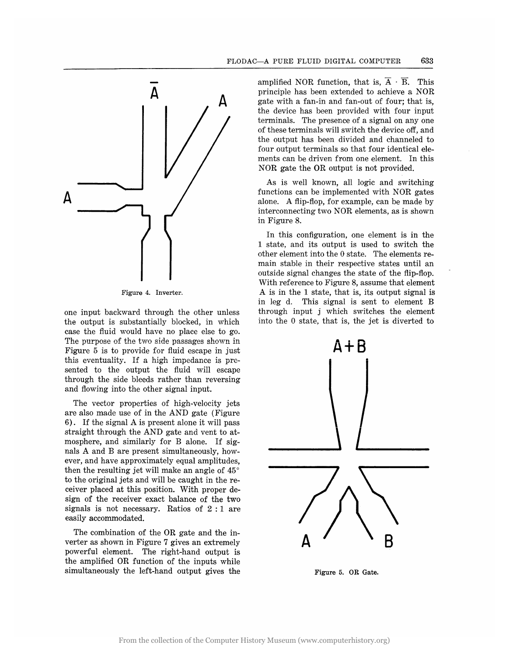

Figure 4. Inverter.

one input backward through the other unless the output is substantially blocked, in which case the fluid would have no place else to go. The purpose of the two side passages shown in Figure 5 is to provide for fluid escape in just this eventuality. If a high impedance is presented to the output the fluid will escape through the side bleeds rather than reversing and flowing into the other signal input.

The vector properties of high-velocity jets are also made use of in the AND gate (Figure 6). If the signal A is present alone it will pass straight through the AND gate and vent to atmosphere, and similarly for B alone. If signals A and B are present simultaneously, however, and have approximately equal amplitudes, then the resulting jet will make an angle of 45° to the original jets and will be caught in the receiver placed at this position. With proper design of the receiver exact balance of the two signals is not necessary. Ratios of 2 : 1 are easily accommodated.

The combination of the OR gate and the inverter as shown in Figure 7 gives an extremely powerful element. The right-hand output is the amplified OR function of the inputs while simultaneously the left-hand output gives the amplified NOR function, that is,  $\overline{A} \cdot \overline{B}$ . This principle has been extended to achieve a NOR gate with a fan-in and fan-out of four; that is, the device has been provided with four input terminals. The presence of a signal on anyone of these terminals will switch the device off, and the output has been divided and channeled to four output terminals so that four identical elements can be driven from one element. In this NOR gate the OR output is not provided.

As is well known, all logic and switching functions can be implemented with NOR gates alone. A flip-flop, for example, can be made by interconnecting two NOR elements, as is shown in Figure 8.

In this configuration, one element is in the 1 state, and its output is used to switch the other element into the 0 state. The elements remain stable in their respective states until an outside signal changes the state of the flip-flop. With reference to Figure 8, assume that element A is in the 1 state, that is, its output signal is in leg d. This signal is sent to element B through input j which switches the element into the 0 state, that is, the jet is diverted to



Figure 5. OR Gate.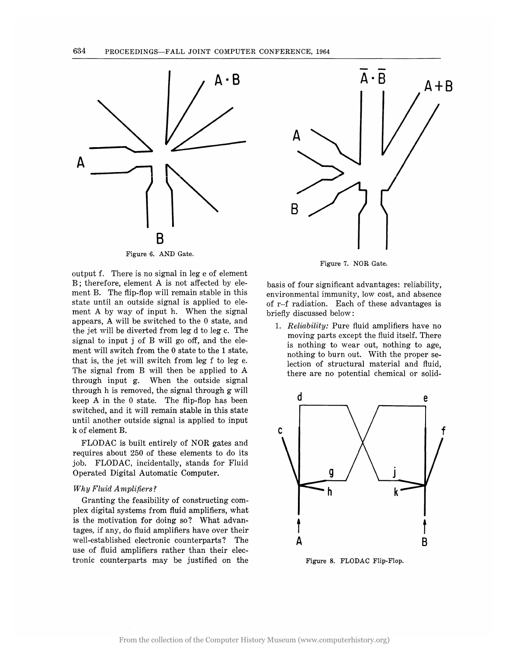

Figure 6. AND Gate.

output f. There is no signal in leg e of element B; therefore, element A is not affected by element B. The flip-flop will remain stable in this state until an outside signal is applied to element A by way of input h. When the signal appears, A will be switched to the 0 state, and the jet will be diverted from leg d to leg c. The signal to input j of B will go off, and the element will switch from the 0 state to the 1 state, that is, the jet will switch from leg f to leg e. The signal from B will then be applied to A through input g. When the outside signal through h is removed, the signal through g will keep A in the 0 state. The flip-flop has been switched, and it will remain stable in this state until another outside signal is applied to input k of element B.

FLODAC is built entirely of NOR gates and requires about 250 of these elements to do its job. FLODAC, incidentally, stands for Fluid Operated Digital Automatic Computer.

## *Why* Fluid Amplifiers?

Granting the feasibility of constructing complex digital systems from fluid amplifiers, what is the motivation for doing so? What advantages, if any, do fluid amplifiers have over their well-established electronic counterparts? The use of fluid amplifiers rather than their electronic counterparts may be justified on the



Figure 7. NOR Gate.

basis of four significant advantages: reliability, environmental immunity, low cost, and absence of r-f radiation. Each of these advantages is briefly discussed below:

*1.* Reliability: Pure fluid amplifiers have no moving parts except the fluid itself. There is nothing to wear out, nothing to age, nothing to burn out. With the proper selection of structural material and fluid, there are no potential chemical or solid-



Figure 8. FLODAC Flip-Flop.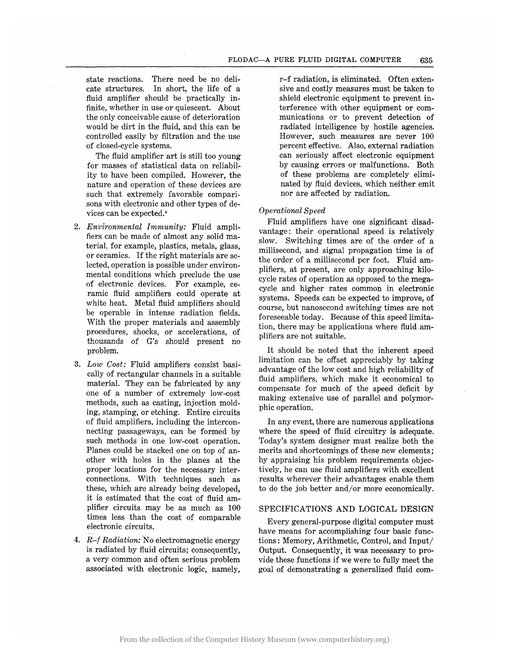state reactions. There need be no delicate structures. In short, the life of a fluid amplifier should be practically infinite, whether in use or quiescent. About the only conceivable cause of deterioration would be dirt in the fluid, and this can be controlled easily by filtration and the use of closed-cycle systems.

The fluid amplifier art is still too young for masses of statistical data on reliability to have been compiled. However, the nature and operation of these devices are such that extremely favorable comparisons with electronic and other types of devices can be expected.4

- *2. Environmental Immunity:* Fluid amplifiers can be made of almost any solid material, for example, plastics, metals, glass, or ceramics. If the right materials are selected, operation is possible under environmental conditions which preclude the use of electronic devices. For example, ceramic fluid amplifiers could operate at white heat. Metal fluid amplifiers should be operable in intense radiation fields. With the proper materials and assembly procedures, shocks, or accelerations, of thousands of G's should present no problem.
- *3. Low Cost:* Fluid amplifiers consist basically of rectangular channels in a suitable material. They can be fabricated by any one of a number of extremely low-cost methods, such as casting, injection molding, stamping, or etching. Entire circuits of fluid amplifiers, including the interconnecting passageways, can be formed by such methods in one low-cost operation. Planes could be stacked one on top of another with holes in the planes at the proper locations for the necessary interconnections. With techniques such as these, which are already being developed; it is estimated that the cost of fluid amplifier circuits may be as much as 100 times less than the cost of comparable electronic circuits.
- *4.* R~f *Radiation:* 'No electromagnetic energy is radiated by fluid circuits; consequently, a very common and often serious problem associated with electronic logic, namely,

r-f radiation, is eliminated. Often extensive and costly measures must be taken to shield electronic equipment to prevent interference with other equipment or communications or to prevent detection of radiated intelligence by hostile agencies. However, such measures are never 100 percent effective. Also, external radiation can seriously affect electronic equipment by causing errors or malfunctions. Both of these problems are completely eliminated by fluid devices, which neither emit nor are affected by radiation.

## *Operational Speed*

Fluid amplifiers have one significant disadvantage: their operational speed is relatively slow. Switching times are of the order of a millisecond, and signal propagation time is of the order of a millisecond per foot. Fluid amplifiers, at present, are only approaching kilocycle rates of operation as opposed to the megacycle and higher rates common in electronic systems. Speeds can be expected to improve, of course, but nanosecond switching times are not foreseeable today. Because of this speed limitation, there may be applications where fluid amplifiers are not suitable.

It should be noted that the inherent speed limitation can be offset appreciably by taking advantage of the low cost and high reliability of fluid amplifiers, which make it economical to compensate for much of the speed deficit by making extensive use of parallel and polymorphic operation.

In any event, there are numerous applications where the speed of fluid circuitry is adequate. Today's system designer must realize both the merits and shortcomings of these new elements; by appraising his problem requirements objectively, he can use fluid amplifiers with excellent results wherever their advantages enable them to do the job better and/or more economically.

## SPECIFICATIONS AND LOGICAL DESIGN

Every general-purpose digital computer must have means for accomplishing four basic functions: Memory, Arithmetic, Control, and Input/ Output. Consequently, it was necessary to provide these functions if we were to fully meet the goal of demonstrating a generalized fluid com-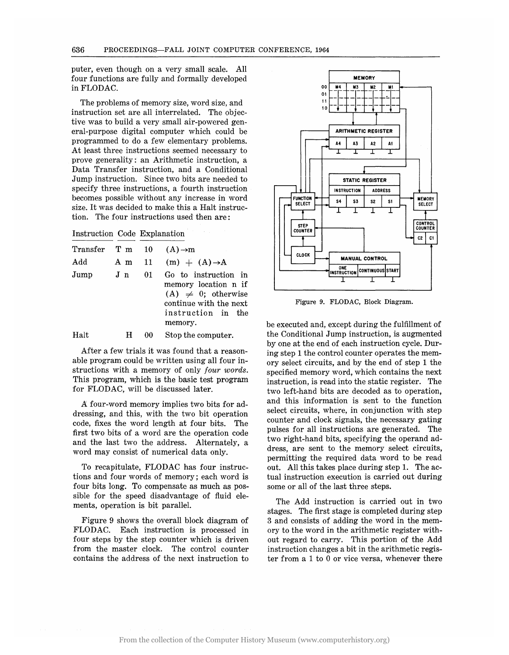puter, even though on a very small scale. All four functions are fully and formally developed inFLODAC.

The problems of memory size, word size, and instruction set are all interrelated. The objective was to build a very small air-powered general-purpose digital computer which could be programmed to do a few elementary problems. At least three instructions seemed necessary to prove generality: an Arithmetic instruction, a Data Transfer instruction, and a Conditional Jump instruction. Since two bits are needed to specify three instructions, a fourth instruction becomes possible without any increase in word size. It was decided to make this a Halt instruction. The four instructions used then are:

Instruction Code Explanation

| Transfer T m 10 $(A) \rightarrow m$ |                |    |                                                                                                                                     |
|-------------------------------------|----------------|----|-------------------------------------------------------------------------------------------------------------------------------------|
| Add                                 |                |    | A m 11 (m) $+$ (A) $\rightarrow$ A                                                                                                  |
| Jump                                | J <sub>n</sub> | 01 | Go to instruction in<br>memory location n if<br>$(A) \neq 0$ ; otherwise<br>continue with the next<br>instruction in the<br>memory. |
|                                     |                |    | $\sim$ $\sim$                                                                                                                       |

Halt H 00 Stop the computer.

After a few trials it was found that a reasonable program could be written using all four instructions with a memory of only *four words.*  This program, which is the basic test program for FLODAC, will be discussed later.

A four-word memory implies two bits for addressing, and this, with the two bit operation code, fixes the word length at four bits. The first two bits of a word are the operation code and the last two the address. Alternately, a word may consist of numerical data only.

To recapitulate, FLODAC has four instructions and four words of memory; each word is four bits long. To compensate as much as possible for the speed disadvantage of fluid elements, operation is bit parallel.

Figure 9 shows the overall block diagram of FLODAC. Each instruction is processed in four steps by the step counter which is driven from the master clock. The control counter contains the address of the next instruction to



Figure 9. FLODAC, Block Diagram.

be executed and, except during the fulfillment of the Conditional Jump instruction, is augmented by one at the end of each instruction cycle. During step 1 the control counter operates the memory select circuits, and by the end of step 1 the specified memory word, which contains the next instruction, is read into the static register. The two left-hand bits are decoded as to operation, and this information is sent to the function select circuits, where, in conjunction with step counter and clock signals, the necessary gating pulses for all instructions are generated. The two right-hand bits, specifying the operand address, are sent to the memory select circuits, permitting the required data word to be read out. All this takes place during step 1. The actual instruction execution is carried out during some or all of the last three steps.

The Add instruction is carried out in two stages. The first stage is completed during step 3 and consists of adding the word in the memory to the word in the arithmetic register without regard to carry. This portion of the Add instruction changes a bit in the arithmetic register from a 1 to 0 or vice versa, whenever there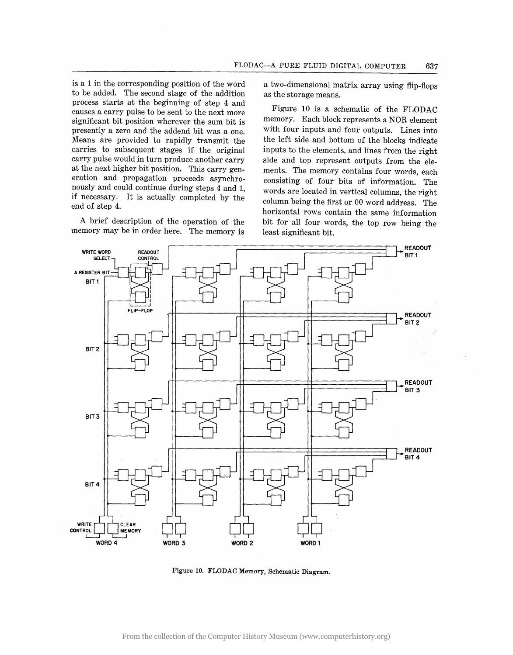is a 1 in the corresponding position of the word to be added. The second stage of the addition process starts at the beginning of step 4 and causes a carry pulse to be sent to the next more significant bit position wherever the sum bit is presently a zero and the addend bit was a one. Means are provided to rapidly transmit the carries to subsequent stages if the original carry pulse would in turn produce another carry at the next higher bit position. This carry generation and propagation proceeds asynchronously and could continue during steps 4 and 1, if necessary. It is actually completed by the end of step 4.

A brief description of the operation of the memory may be in order here. The memory is a two-dimensional matrix array using flip-flops as the storage means.

Figure 10 is a schematic of the FLODAC memory. Each block represents a NOR element with four inputs and four outputs. Lines into the left side and bottom of the blocks indicate inputs to the elements, and lines from the right side and top represent outputs from the elements. The memory contains four words, each consisting of four bits of information. The words are located in vertical columns, the right column being the first or 00 word address. The horizontal rows contain the same information bit for all four words, the. top row being the least significant bit.



Figure 10. FLODAC Memory, Schematic Diagram.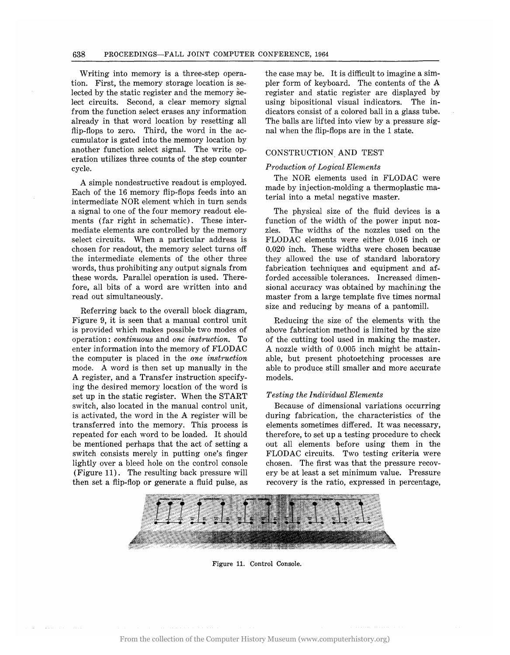Writing into memory is a three-step operation. First, the memory storage location is selected by the static register and the memory select circuits. Second, a clear memory signal from the function select erases any information already in that word location by resetting all flip-flops to zero. Third, the word in the accumulator is gated into the memory location by another function select signal. The write operation utilizes three counts of the step counter cycle.

A simple nondestructive readout is employed. Each of the 16 memory flip-flops feeds into an intermediate NOR element which in turn sends a signal to one of the four memory readout elements (far right in schematic). These intermediate elements are controlled by the memory select circuits. When a particular address is chosen for readout, the memory select turns off the intermediate elements of the other three words, thus prohibiting any output signals from these words. Parallel operation is used. Therefore, all bits of a word are written into and read out simultaneously.

Referring back to the overall block diagram, Figure 9, it is seen that a manual control unit is provided which makes possible two modes of operation: *continuous* and *one instruction.* To enter information into the memory of FLODAC the computer is placed in the *one instruction*  mode. A word is then set up manually in the A register, and a Transfer instruction specifying the desired memory location of the word is set up in the static register. When the START switch, also located in the manual control unit, is activated, the word in the A register will be transferred into the memory. This process is repeated for each word to be loaded. It should be mentioned perhaps that the act of setting a switch consists merely in putting one's finger lightly over a bleed hole on the control console (Figure 11). The resulting back pressure will then set a flip-flop or generate a fluid pulse, as the case may be. It is difficult to imagine a simpler form of keyboard. The contents of the A register and static register are displayed by using bipositional visual indicators. The indicators consist of a colored ball in a glass tube. The balls are lifted into view by a pressure signal when the flip-flops are in the 1 state.

## CONSTRUCTION, AND TEST

### *Production of Logical Elements*

The NOR elements used in FLODAC were made by injection-molding a thermoplastic material into a metal negative master.

The physical size of the fluid devices is a function of the width of the power input nozzles. The widths of the nozzles used on the FLODAC elements were either 0.016 inch or 0.020 inch. These widths were chosen because they allowed the use of standard laboratory fabrication techniques and equipment and afforded accessible tolerances. Increased dimensional accuracy was obtained by machining the master from a large template five times normal size and reducing by means of a pantomill.

Reducing the size of the elements with the above fabrication method is limited by the size of the cutting tool used in making the master. A nozzle width of 0.005 inch might be attainable, but present photoetching processes are able to produce still smaller and more accurate models.

#### *Testing the Individual Elements*

Because of dimensional variations occurring during fabrication, the characteristics of the elements sometimes differed. It was necessary, therefore, to set up a testing procedure to check out all elements before using them in the FLODAC circuits. Two testing criteria were chosen. The first was that the pressure recovery be at least a set minimum value. Pressure recovery is the ratio, expressed in percentage,



Figure 11. Control Console.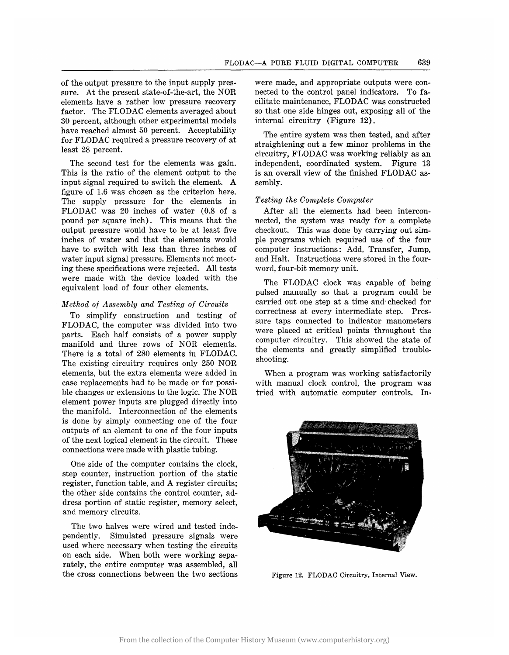of the output pressure to the input supply pressure. At the present state-of-the-art, the NOR elements have a rather low pressure recovery factor. The FLODAC elements averaged about 30 percent, although other experimental models have reached almost 50 percent. Acceptability for FLODAC required a pressure recovery of at least 28 percent.

The second test for the elements was gain. This is the ratio of the element output to the input signal required to switch the element. A figure of 1.6 was chosen as the criterion here. The supply pressure for the elements in FLODAC was 20 inches of water (0.8 of a pound per square inch). This means that the output pressure would have to be at least five inches of water and that the elements would have to switch with less than three inches of water input signal pressure. Elements not meeting these specifications were rejected. All tests were made with the device loaded with the equivalent load of four other elements.

## *Method of Assembly and Testing of Circuits*

To simplify construction and testing of FLODAC, the computer was divided into two parts. Each half consists of a power supply manifold and three rows of NOR elements. There is a total of 280 elements in FLODAC. The existing circuitry requires only 250 NOR elements, but the extra elements were added in case replacements had to be made or for possible changes or extensions to the logic. The NOR element power inputs are plugged directly into the manifold. Interconnection of the elements is done by simply connecting one of the four outputs of an element to one of the four inputs of the next logical element in the circuit. These connections were made with plastic tubing.

One side of the computer contains the clock, step counter, instruction portion of the static register, function table, and A register circuits; the other side contains the control counter, address portion of static register, memory select, and memory circuits.

The two halves were wired and tested independently. Simulated pressure signals were used where necessary when testing the circuits on each side. When both were working separately, the entire computer was assembled, all the cross connections between the two sections

were made, and appropriate outputs were connected to the control panel indicators. To facilitate maintenance, FLODAC was constructed so that one side hinges out, exposing all of the internal circuitry (Figure 12).

The entire system was then tested, and after straightening out a few minor problems in the circuitry, FLODAC was working reliably as an independent, coordinated system. Figure 13 is an overall view of the finished FLODAC assembly.

## *Testing the Complete Computer*

After all the elements had been interconnected, the system was ready for a complete checkout. This was done by carrying out simple programs which required use of the four computer instructions: Add, Transfer, Jump, and Halt. Instructions were stored in the fourword, four-bit memory unit.

The FLODAC clock was capable of being pulsed manually so that a program could be carried out one step at a time and checked for correctness at every intermediate step. Pressure taps connected to indicator manometers were placed at critical points throughout the computer circuitry. This showed the state of the elements and greatly simplified troubleshooting.

When a program was working satisfactorily with manual clock control, the program was tried with automatic computer controls. In~



Figure 12. FLODAC Circuitry, Internal View.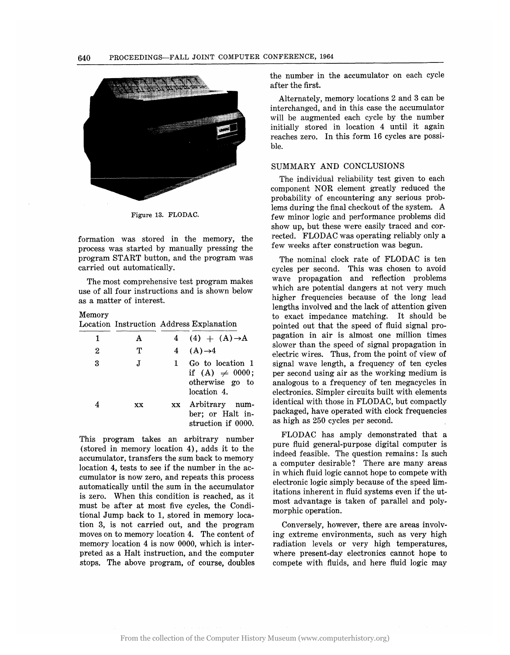

Figure 13. FLODAC.

formation was stored in the memory, the process was started by manually pressing the program START button, and the program was carried out automatically.

The most comprehensive test program makes use of all four instructions and is shown below as a matter of interest.

#### Memory

Location Instruction Address Explanation

| 1 | A  |    | 4 (4) + $(A) \rightarrow A$                                               |
|---|----|----|---------------------------------------------------------------------------|
| 2 | ጥ  |    | 4 $(A) \rightarrow 4$                                                     |
| 3 | J. |    | Go to location 1<br>if (A) $\neq$ 0000;<br>otherwise go to<br>location 4. |
|   | XX | XX | Arbitrary num-<br>ber; or Halt in-<br>struction if 0000.                  |

This program takes an arbitrary number (stored in memory location 4), adds it to the accumulator, transfers the sum back to memory location 4, tests to see if the number in the accumulator is now zero, and repeats this process automatically until the sum in the accumulator is zero. When this condition is reached, as it must be after at most five cycles, the Conditional Jump back to 1, stored in memory location 3, is not carried out, and the program moves on to memory location 4. The content of memory location 4 is now 0000, which is interpreted as a Halt instruction, and the computer stops. The above program, of course, doubles the number in the accumulator on each cycle after the first.

Alternately, memory locations 2 and 3 can be interchanged, and in this case the accumulator will be augmented each cycle by the number initially stored in location 4 until it again reaches zero. In this form 16 cycles are possible.

## SUMMARY AND CONCLUSIONS

The individuai reiiabiiity test given to each component NOR element greatly reduced the probability of encountering any serious problems during the final checkout of the system. A few minor logic and performance problems did show up, but these were easily traced and corrected. FLODAC was operating reliably only a few weeks after construction was begun.

The nominal clock rate of FLODAC is ten cycles per second. This was chosen to avoid wave propagation and reflection problems which are potential dangers at not very much higher frequencies because of the long lead lengths involved and the lack of attention given to exact impedance matching. It should be pointed out that the speed of fluid signal propagation in air is almost one million times slower than the speed of signal propagation in electric wires. Thus, from the point of view of signal wave length, a frequency of ten cycles per second using air as the working medium is analogous to a frequency of ten megacycles in electronics. Simpler circuits built with elements identical with those in FLODAC, but compactly packaged, have operated with clock frequencies as high as 250 cycles per second.

FLODAC has amply demonstrated that a pure fluid general-purpose digital computer is indeed feasible. The question remains: Is such a computer desirable? There are many areas in which fluid logic cannot hope to compete with electronic logic simply because of the speed limitations inherent in fluid systems even if the utmost advantage is taken of parallel and poly~ morphic operation.

Conversely, however, there are areas involving extreme environments, such as very high radiation levels or very high temperatures, where present-day electronics cannot hope to compete with fluids, and here fluid logic may